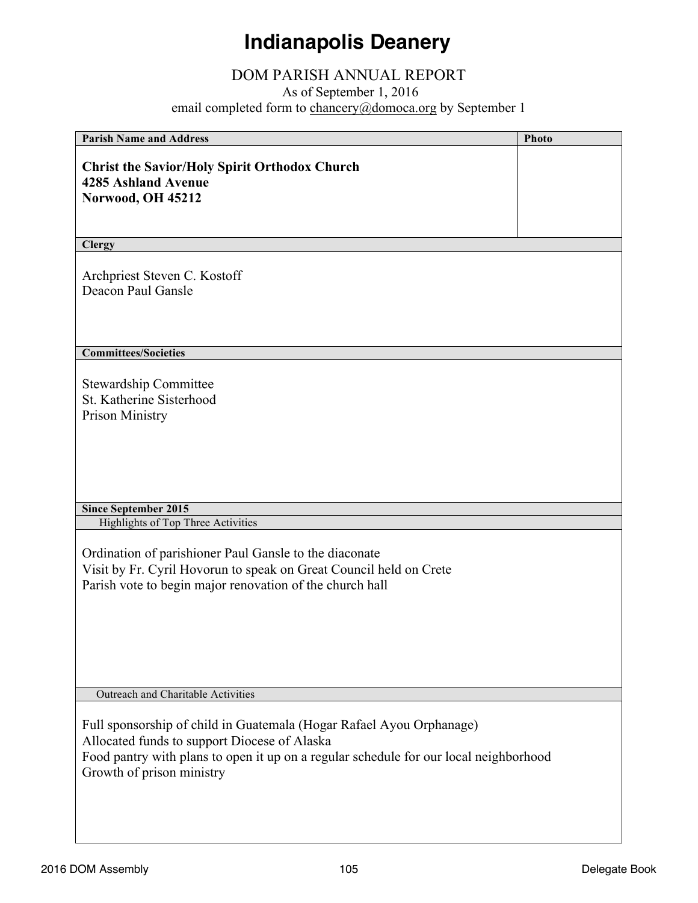# **Indianapolis Deanery**

# DOM PARISH ANNUAL REPORT

As of September 1, 2016

email completed form to **chancery@domoca.org** by September 1

| <b>Parish Name and Address</b>                                                        | <b>Photo</b> |
|---------------------------------------------------------------------------------------|--------------|
|                                                                                       |              |
| <b>Christ the Savior/Holy Spirit Orthodox Church</b><br><b>4285 Ashland Avenue</b>    |              |
|                                                                                       |              |
| Norwood, OH 45212                                                                     |              |
|                                                                                       |              |
| <b>Clergy</b>                                                                         |              |
|                                                                                       |              |
| Archpriest Steven C. Kostoff                                                          |              |
| Deacon Paul Gansle                                                                    |              |
|                                                                                       |              |
|                                                                                       |              |
| <b>Committees/Societies</b>                                                           |              |
|                                                                                       |              |
| <b>Stewardship Committee</b>                                                          |              |
| St. Katherine Sisterhood                                                              |              |
| <b>Prison Ministry</b>                                                                |              |
|                                                                                       |              |
|                                                                                       |              |
|                                                                                       |              |
|                                                                                       |              |
|                                                                                       |              |
| <b>Since September 2015</b>                                                           |              |
| <b>Highlights of Top Three Activities</b>                                             |              |
| Ordination of parishioner Paul Gansle to the diaconate                                |              |
| Visit by Fr. Cyril Hovorun to speak on Great Council held on Crete                    |              |
| Parish vote to begin major renovation of the church hall                              |              |
|                                                                                       |              |
|                                                                                       |              |
|                                                                                       |              |
|                                                                                       |              |
|                                                                                       |              |
|                                                                                       |              |
| Outreach and Charitable Activities                                                    |              |
|                                                                                       |              |
| Full sponsorship of child in Guatemala (Hogar Rafael Ayou Orphanage)                  |              |
| Allocated funds to support Diocese of Alaska                                          |              |
| Food pantry with plans to open it up on a regular schedule for our local neighborhood |              |
| Growth of prison ministry                                                             |              |
|                                                                                       |              |
|                                                                                       |              |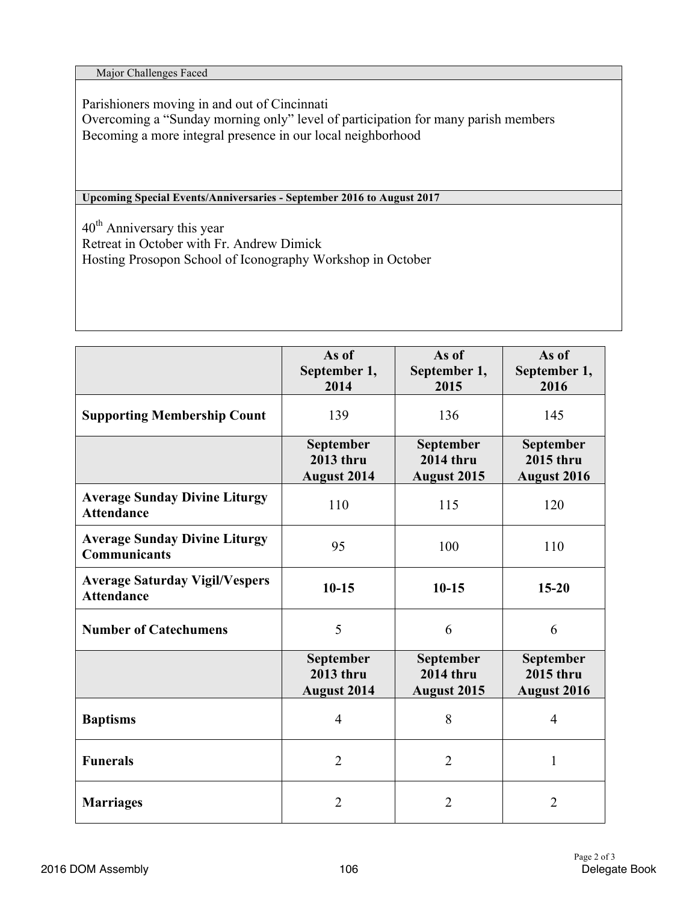Major Challenges Faced

Parishioners moving in and out of Cincinnati Overcoming a "Sunday morning only" level of participation for many parish members Becoming a more integral presence in our local neighborhood

**Upcoming Special Events/Anniversaries - September 2016 to August 2017**

 $40<sup>th</sup>$  Anniversary this year Retreat in October with Fr. Andrew Dimick Hosting Prosopon School of Iconography Workshop in October

|                                                             | As of<br>September 1,<br>2014                       | As of<br>September 1,<br>2015                       | As of<br>September 1,<br>2016                |
|-------------------------------------------------------------|-----------------------------------------------------|-----------------------------------------------------|----------------------------------------------|
| <b>Supporting Membership Count</b>                          | 139                                                 | 136                                                 | 145                                          |
|                                                             | September<br>2013 thru<br><b>August 2014</b>        | September<br><b>2014 thru</b><br><b>August 2015</b> | September<br><b>2015 thru</b><br>August 2016 |
| <b>Average Sunday Divine Liturgy</b><br><b>Attendance</b>   | 110                                                 | 115                                                 | 120                                          |
| <b>Average Sunday Divine Liturgy</b><br><b>Communicants</b> | 95                                                  | 100                                                 | 110                                          |
| <b>Average Saturday Vigil/Vespers</b><br><b>Attendance</b>  | $10-15$                                             | $10 - 15$                                           | $15 - 20$                                    |
| <b>Number of Catechumens</b>                                | 5                                                   | 6                                                   | 6                                            |
|                                                             | September<br><b>2013 thru</b><br><b>August 2014</b> | September<br><b>2014 thru</b><br>August 2015        | September<br><b>2015 thru</b><br>August 2016 |
| <b>Baptisms</b>                                             | $\overline{4}$                                      | 8                                                   | $\overline{4}$                               |
| <b>Funerals</b>                                             | $\overline{2}$                                      | $\overline{2}$                                      | 1                                            |
| <b>Marriages</b>                                            | $\overline{2}$                                      | $\overline{2}$                                      | $\overline{2}$                               |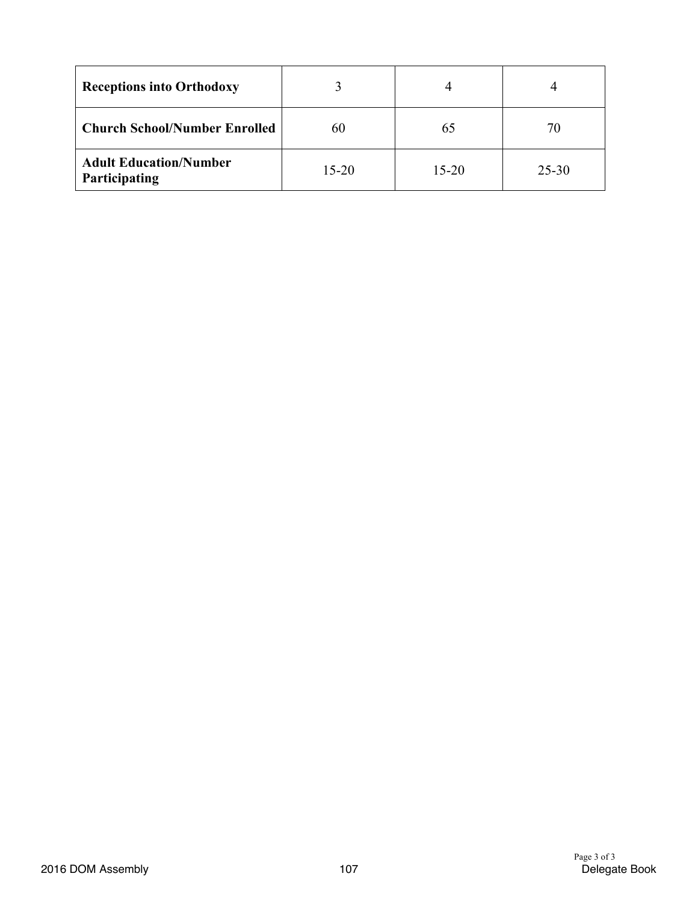| <b>Receptions into Orthodoxy</b>               |           |           |           |
|------------------------------------------------|-----------|-----------|-----------|
| <b>Church School/Number Enrolled</b>           | 60        | 65        |           |
| <b>Adult Education/Number</b><br>Participating | $15 - 20$ | $15 - 20$ | $25 - 30$ |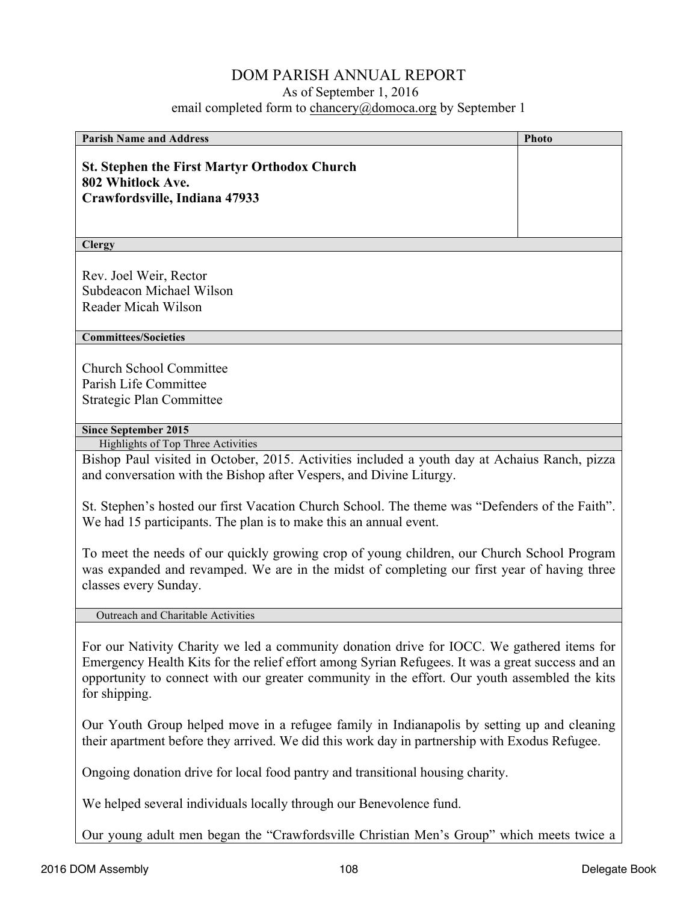### DOM PARISH ANNUAL REPORT

#### As of September 1, 2016

email completed form to chancery@domoca.org by September 1

| <b>Parish Name and Address</b>                                                                                                                                                                             | <b>Photo</b> |
|------------------------------------------------------------------------------------------------------------------------------------------------------------------------------------------------------------|--------------|
| <b>St. Stephen the First Martyr Orthodox Church</b><br>802 Whitlock Ave.<br>Crawfordsville, Indiana 47933                                                                                                  |              |
| <b>Clergy</b>                                                                                                                                                                                              |              |
| Rev. Joel Weir, Rector<br>Subdeacon Michael Wilson<br>Reader Micah Wilson                                                                                                                                  |              |
| <b>Committees/Societies</b>                                                                                                                                                                                |              |
| <b>Church School Committee</b><br>Parish Life Committee<br><b>Strategic Plan Committee</b>                                                                                                                 |              |
| <b>Since September 2015</b>                                                                                                                                                                                |              |
| Highlights of Top Three Activities<br>Bishop Paul visited in October, 2015. Activities included a youth day at Achaius Ranch, pizza<br>and conversation with the Bishop after Vespers, and Divine Liturgy. |              |
| St. Stephen's hosted our first Vacation Church School. The theme was "Defenders of the Faith".<br>We had 15 participants. The plan is to make this an annual event.                                        |              |
| To most the needs of our quickly growing eron of young children, our Church School Dreament                                                                                                                |              |

To meet the needs of our quickly growing crop of young children, our Church School Program was expanded and revamped. We are in the midst of completing our first year of having three classes every Sunday.

Outreach and Charitable Activities

For our Nativity Charity we led a community donation drive for IOCC. We gathered items for Emergency Health Kits for the relief effort among Syrian Refugees. It was a great success and an opportunity to connect with our greater community in the effort. Our youth assembled the kits for shipping.

Our Youth Group helped move in a refugee family in Indianapolis by setting up and cleaning their apartment before they arrived. We did this work day in partnership with Exodus Refugee.

Ongoing donation drive for local food pantry and transitional housing charity.

We helped several individuals locally through our Benevolence fund.

Our young adult men began the "Crawfordsville Christian Men's Group" which meets twice a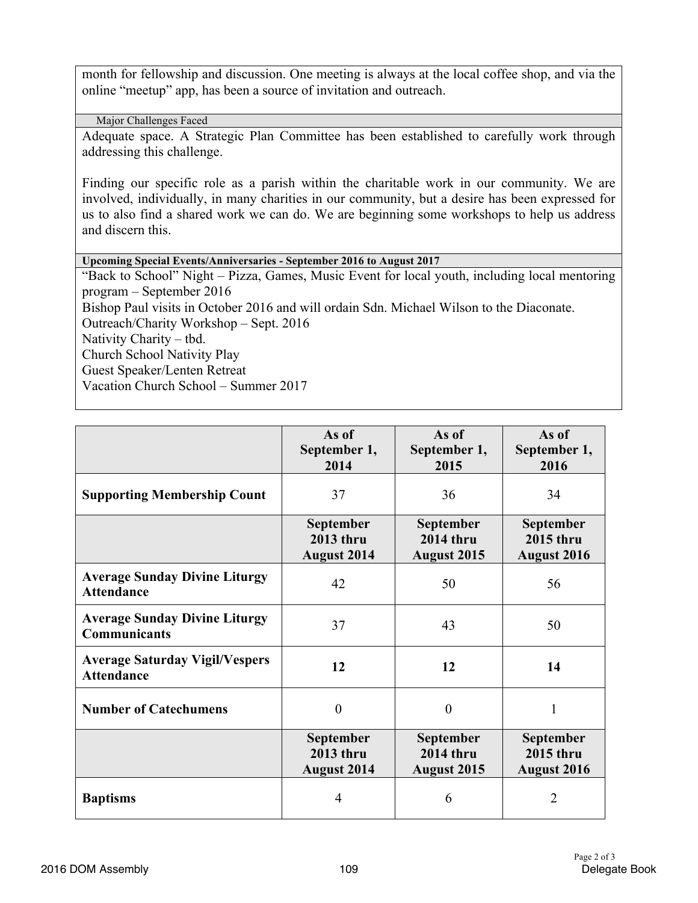month for fellowship and discussion. One meeting is always at the local coffee shop, and via the online "meetup" app, has been a source of invitation and outreach.

Major Challenges Faced

Adequate space. A Strategic Plan Committee has been established to carefully work through addressing this challenge.

Finding our specific role as a parish within the charitable work in our community. We are involved, individually, in many charities in our community, but a desire has been expressed for us to also find a shared work we can do. We are beginning some workshops to help us address and discern this.

**Upcoming Special Events/Anniversaries - September 2016 to August 2017**

"Back to School" Night – Pizza, Games, Music Event for local youth, including local mentoring program – September 2016 Bishop Paul visits in October 2016 and will ordain Sdn. Michael Wilson to the Diaconate. Outreach/Charity Workshop – Sept. 2016 Nativity Charity – tbd. Church School Nativity Play Guest Speaker/Lenten Retreat Vacation Church School – Summer 2017

|                                                             | As of<br>September 1,<br>2014                       | As of<br>September 1,<br>2015                              | As of<br>September 1,<br>2016                              |
|-------------------------------------------------------------|-----------------------------------------------------|------------------------------------------------------------|------------------------------------------------------------|
| <b>Supporting Membership Count</b>                          | 37                                                  | 36                                                         | 34                                                         |
|                                                             | September<br>2013 thru<br><b>August 2014</b>        | September<br><b>2014 thru</b><br><b>August 2015</b>        | September<br>2015 thru<br><b>August 2016</b>               |
| <b>Average Sunday Divine Liturgy</b><br><b>Attendance</b>   | 42                                                  | 50                                                         | 56                                                         |
| <b>Average Sunday Divine Liturgy</b><br><b>Communicants</b> | 37                                                  | 43                                                         | 50                                                         |
| <b>Average Saturday Vigil/Vespers</b><br><b>Attendance</b>  | 12                                                  | 12                                                         | 14                                                         |
| <b>Number of Catechumens</b>                                | $\overline{0}$                                      | $\overline{0}$                                             | 1                                                          |
|                                                             | <b>September</b><br>2013 thru<br><b>August 2014</b> | <b>September</b><br><b>2014 thru</b><br><b>August 2015</b> | <b>September</b><br><b>2015 thru</b><br><b>August 2016</b> |
| <b>Baptisms</b>                                             | 4                                                   | 6                                                          | 2                                                          |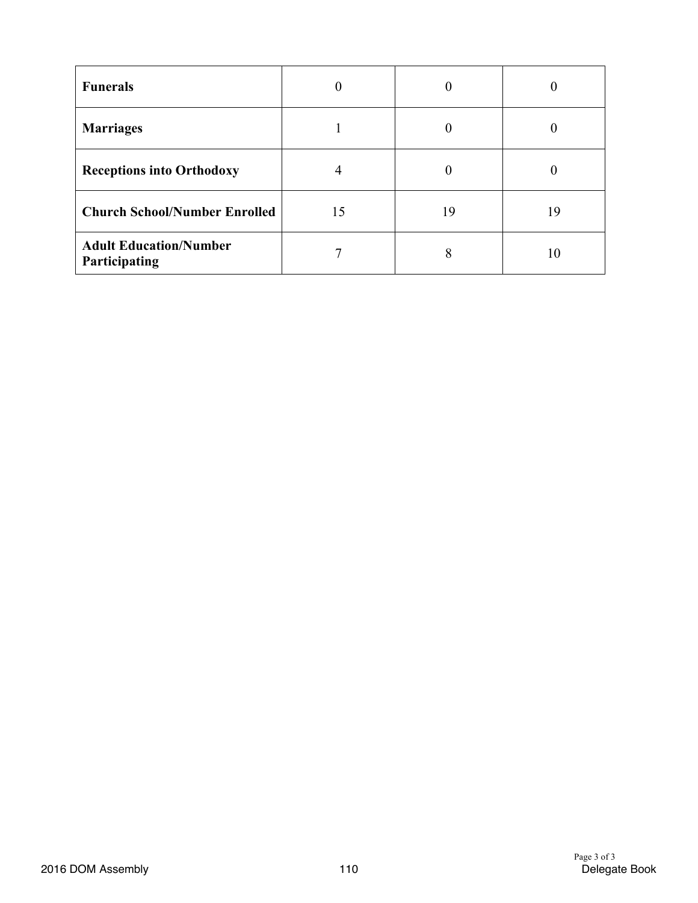| <b>Funerals</b>                                | $\theta$ | $\boldsymbol{0}$ | 0  |
|------------------------------------------------|----------|------------------|----|
| <b>Marriages</b>                               |          | 0                |    |
| <b>Receptions into Orthodoxy</b>               | 4        | 0                |    |
| <b>Church School/Number Enrolled</b>           | 15       | 19               | 19 |
| <b>Adult Education/Number</b><br>Participating |          | 8                | 10 |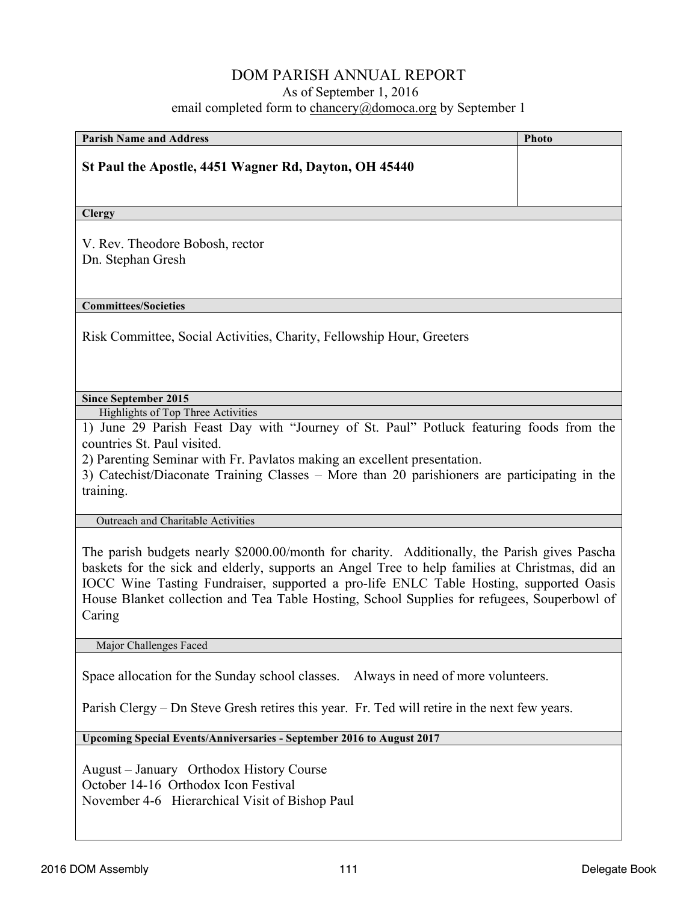#### DOM PARISH ANNUAL REPORT As of September 1, 2016 email completed form to chancery@domoca.org by September 1

| <b>Parish Name and Address</b>                                                                                                                                                                                                                                                                                                                                                                    | <b>Photo</b> |
|---------------------------------------------------------------------------------------------------------------------------------------------------------------------------------------------------------------------------------------------------------------------------------------------------------------------------------------------------------------------------------------------------|--------------|
| St Paul the Apostle, 4451 Wagner Rd, Dayton, OH 45440                                                                                                                                                                                                                                                                                                                                             |              |
|                                                                                                                                                                                                                                                                                                                                                                                                   |              |
| <b>Clergy</b>                                                                                                                                                                                                                                                                                                                                                                                     |              |
| V. Rev. Theodore Bobosh, rector<br>Dn. Stephan Gresh                                                                                                                                                                                                                                                                                                                                              |              |
| <b>Committees/Societies</b>                                                                                                                                                                                                                                                                                                                                                                       |              |
| Risk Committee, Social Activities, Charity, Fellowship Hour, Greeters                                                                                                                                                                                                                                                                                                                             |              |
| <b>Since September 2015</b>                                                                                                                                                                                                                                                                                                                                                                       |              |
| Highlights of Top Three Activities<br>1) June 29 Parish Feast Day with "Journey of St. Paul" Potluck featuring foods from the<br>countries St. Paul visited.<br>2) Parenting Seminar with Fr. Pavlatos making an excellent presentation.<br>3) Catechist/Diaconate Training Classes – More than 20 parishioners are participating in the<br>training.                                             |              |
| Outreach and Charitable Activities                                                                                                                                                                                                                                                                                                                                                                |              |
| The parish budgets nearly \$2000.00/month for charity. Additionally, the Parish gives Pascha<br>baskets for the sick and elderly, supports an Angel Tree to help families at Christmas, did an<br>IOCC Wine Tasting Fundraiser, supported a pro-life ENLC Table Hosting, supported Oasis<br>House Blanket collection and Tea Table Hosting, School Supplies for refugees, Souperbowl of<br>Caring |              |
| Major Challenges Faced                                                                                                                                                                                                                                                                                                                                                                            |              |
| Space allocation for the Sunday school classes.<br>Always in need of more volunteers.<br>Parish Clergy - Dn Steve Gresh retires this year. Fr. Ted will retire in the next few years.                                                                                                                                                                                                             |              |
|                                                                                                                                                                                                                                                                                                                                                                                                   |              |
| Upcoming Special Events/Anniversaries - September 2016 to August 2017                                                                                                                                                                                                                                                                                                                             |              |
| August – January Orthodox History Course                                                                                                                                                                                                                                                                                                                                                          |              |

October 14-16 Orthodox Icon Festival November 4-6 Hierarchical Visit of Bishop Paul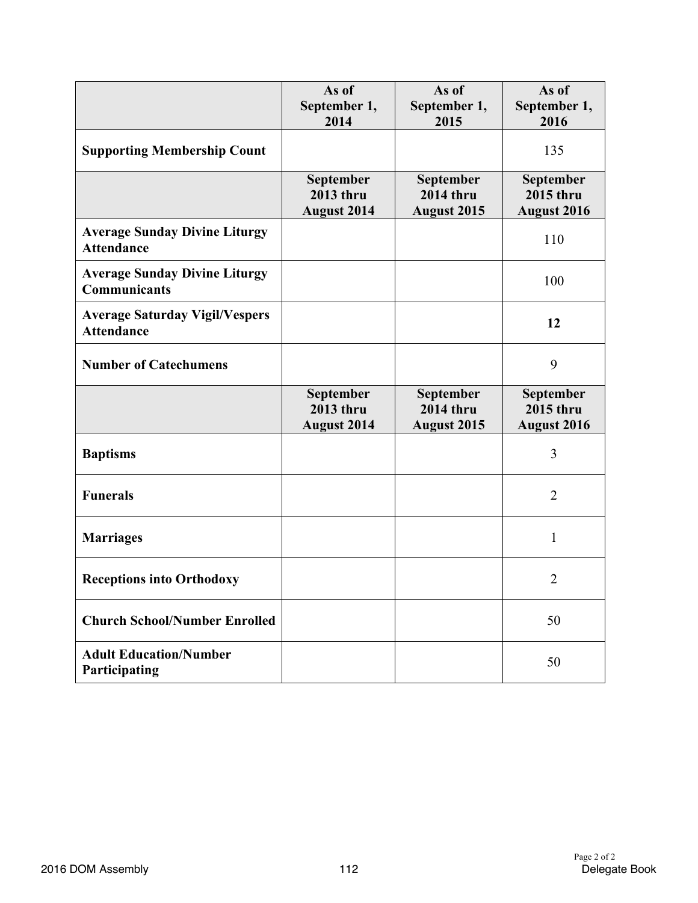|                                                             | As of<br>September 1,<br>2014                | As of<br>September 1,<br>2015                       | As of<br>September 1,<br>2016                       |
|-------------------------------------------------------------|----------------------------------------------|-----------------------------------------------------|-----------------------------------------------------|
| <b>Supporting Membership Count</b>                          |                                              |                                                     | 135                                                 |
|                                                             | September<br>2013 thru<br><b>August 2014</b> | September<br><b>2014 thru</b><br><b>August 2015</b> | September<br>2015 thru<br><b>August 2016</b>        |
| <b>Average Sunday Divine Liturgy</b><br><b>Attendance</b>   |                                              |                                                     | 110                                                 |
| <b>Average Sunday Divine Liturgy</b><br><b>Communicants</b> |                                              |                                                     | 100                                                 |
| <b>Average Saturday Vigil/Vespers</b><br><b>Attendance</b>  |                                              |                                                     | 12                                                  |
| <b>Number of Catechumens</b>                                |                                              |                                                     | 9                                                   |
|                                                             | September<br>2013 thru<br><b>August 2014</b> | September<br><b>2014 thru</b><br><b>August 2015</b> | September<br><b>2015 thru</b><br><b>August 2016</b> |
| <b>Baptisms</b>                                             |                                              |                                                     | 3                                                   |
| <b>Funerals</b>                                             |                                              |                                                     | $\overline{2}$                                      |
| <b>Marriages</b>                                            |                                              |                                                     | $\mathbf{1}$                                        |
| <b>Receptions into Orthodoxy</b>                            |                                              |                                                     | $\overline{2}$                                      |
| <b>Church School/Number Enrolled</b>                        |                                              |                                                     | 50                                                  |
| <b>Adult Education/Number</b><br>Participating              |                                              |                                                     | 50                                                  |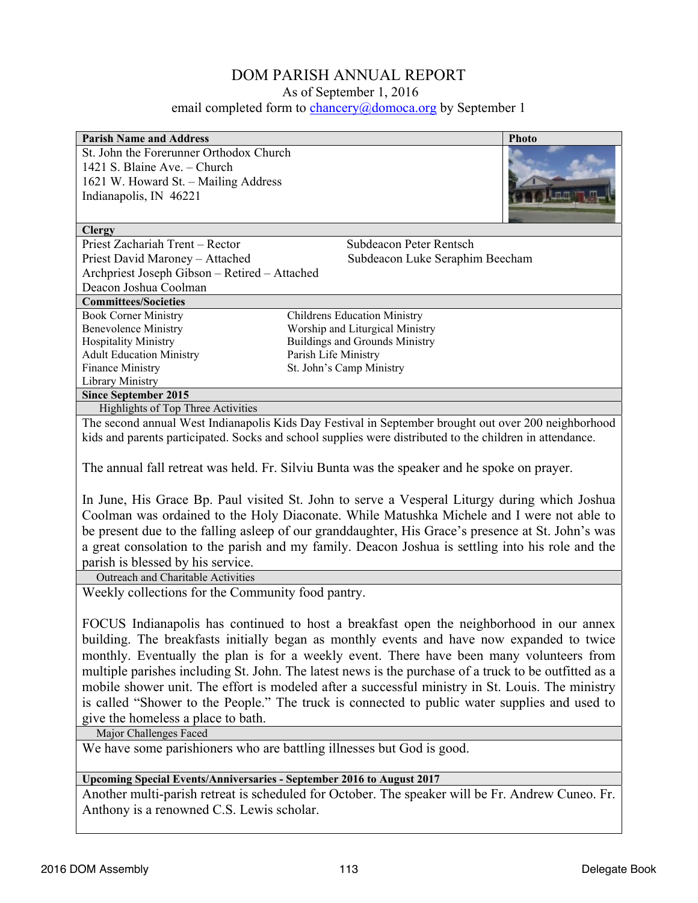# DOM PARISH ANNUAL REPORT

As of September 1, 2016

email completed form to **chancery@domoca.org** by September 1

| <b>Parish Name and Address</b>                                        | <b>Photo</b>                                                                                             |
|-----------------------------------------------------------------------|----------------------------------------------------------------------------------------------------------|
| St. John the Forerunner Orthodox Church                               |                                                                                                          |
| 1421 S. Blaine Ave. - Church                                          |                                                                                                          |
| 1621 W. Howard St. - Mailing Address                                  |                                                                                                          |
| Indianapolis, IN 46221                                                |                                                                                                          |
|                                                                       |                                                                                                          |
| <b>Clergy</b>                                                         |                                                                                                          |
| Priest Zachariah Trent - Rector                                       | Subdeacon Peter Rentsch                                                                                  |
| Priest David Maroney - Attached                                       | Subdeacon Luke Seraphim Beecham                                                                          |
| Archpriest Joseph Gibson - Retired - Attached                         |                                                                                                          |
| Deacon Joshua Coolman                                                 |                                                                                                          |
| <b>Committees/Societies</b>                                           |                                                                                                          |
| <b>Book Corner Ministry</b>                                           | <b>Childrens Education Ministry</b>                                                                      |
| <b>Benevolence Ministry</b>                                           | Worship and Liturgical Ministry                                                                          |
| <b>Hospitality Ministry</b>                                           | <b>Buildings and Grounds Ministry</b>                                                                    |
| <b>Adult Education Ministry</b><br>Finance Ministry                   | Parish Life Ministry<br>St. John's Camp Ministry                                                         |
| Library Ministry                                                      |                                                                                                          |
| <b>Since September 2015</b>                                           |                                                                                                          |
| Highlights of Top Three Activities                                    |                                                                                                          |
|                                                                       | The second annual West Indianapolis Kids Day Festival in September brought out over 200 neighborhood     |
|                                                                       | kids and parents participated. Socks and school supplies were distributed to the children in attendance. |
|                                                                       |                                                                                                          |
|                                                                       | The annual fall retreat was held. Fr. Silviu Bunta was the speaker and he spoke on prayer.               |
|                                                                       |                                                                                                          |
|                                                                       | In June, His Grace Bp. Paul visited St. John to serve a Vesperal Liturgy during which Joshua             |
|                                                                       | Coolman was ordained to the Holy Diaconate. While Matushka Michele and I were not able to                |
|                                                                       | be present due to the falling asleep of our granddaughter, His Grace's presence at St. John's was        |
|                                                                       | a great consolation to the parish and my family. Deacon Joshua is settling into his role and the         |
| parish is blessed by his service.                                     |                                                                                                          |
| Outreach and Charitable Activities                                    |                                                                                                          |
| Weekly collections for the Community food pantry.                     |                                                                                                          |
|                                                                       |                                                                                                          |
|                                                                       | FOCUS Indianapolis has continued to host a breakfast open the neighborhood in our annex                  |
|                                                                       | building. The breakfasts initially began as monthly events and have now expanded to twice                |
|                                                                       |                                                                                                          |
|                                                                       | monthly. Eventually the plan is for a weekly event. There have been many volunteers from                 |
|                                                                       | multiple parishes including St. John. The latest news is the purchase of a truck to be outfitted as a    |
|                                                                       | mobile shower unit. The effort is modeled after a successful ministry in St. Louis. The ministry         |
|                                                                       | is called "Shower to the People." The truck is connected to public water supplies and used to            |
| give the homeless a place to bath.                                    |                                                                                                          |
| Major Challenges Faced                                                |                                                                                                          |
| We have some parishioners who are battling illnesses but God is good. |                                                                                                          |
|                                                                       |                                                                                                          |
| Upcoming Special Events/Anniversaries - September 2016 to August 2017 |                                                                                                          |
|                                                                       | Another multi-parish retreat is scheduled for October. The speaker will be Fr. Andrew Cuneo. Fr.         |
| Anthony is a renowned C.S. Lewis scholar.                             |                                                                                                          |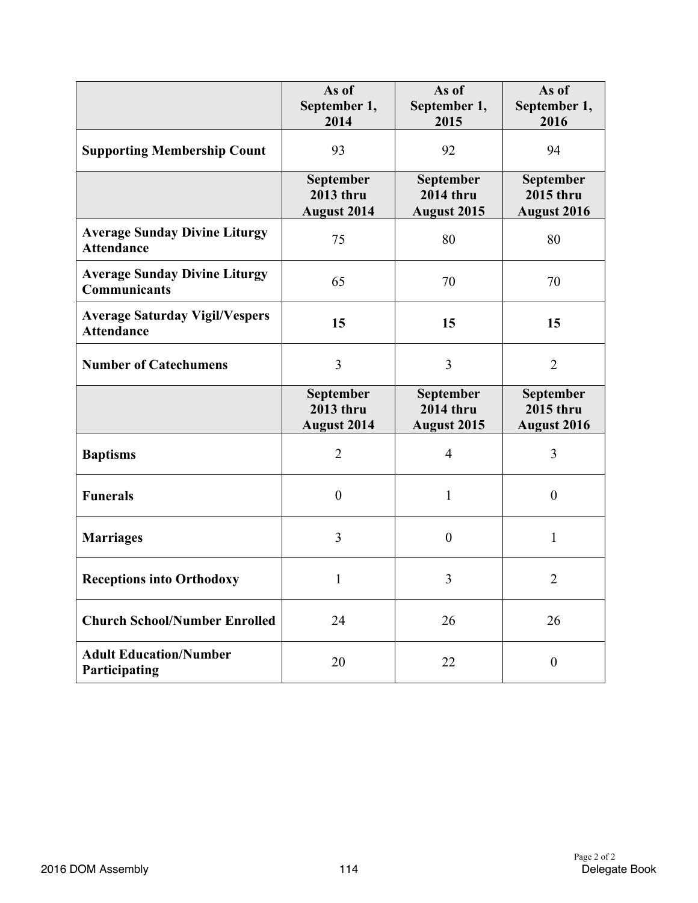|                                                             | As of<br>September 1,<br>2014                       | As of<br>September 1,<br>2015                       | As of<br>September 1,<br>2016                       |
|-------------------------------------------------------------|-----------------------------------------------------|-----------------------------------------------------|-----------------------------------------------------|
| <b>Supporting Membership Count</b>                          | 93                                                  | 92                                                  | 94                                                  |
|                                                             | September<br><b>2013 thru</b><br><b>August 2014</b> | September<br><b>2014 thru</b><br><b>August 2015</b> | September<br>2015 thru<br>August 2016               |
| <b>Average Sunday Divine Liturgy</b><br><b>Attendance</b>   | 75                                                  | 80                                                  | 80                                                  |
| <b>Average Sunday Divine Liturgy</b><br><b>Communicants</b> | 65                                                  | 70                                                  | 70                                                  |
| <b>Average Saturday Vigil/Vespers</b><br><b>Attendance</b>  | 15                                                  | 15                                                  | 15                                                  |
| <b>Number of Catechumens</b>                                | 3                                                   | $\overline{3}$                                      | $\overline{2}$                                      |
|                                                             | September<br>2013 thru<br><b>August 2014</b>        | September<br><b>2014 thru</b><br>August 2015        | September<br><b>2015 thru</b><br><b>August 2016</b> |
| <b>Baptisms</b>                                             | $\overline{2}$                                      | $\overline{4}$                                      | 3                                                   |
| <b>Funerals</b>                                             | $\overline{0}$                                      | 1                                                   | $\mathbf{0}$                                        |
| <b>Marriages</b>                                            | 3                                                   | $\boldsymbol{0}$                                    | $\mathbf{1}$                                        |
| <b>Receptions into Orthodoxy</b>                            | 1                                                   | 3                                                   | $\overline{2}$                                      |
| <b>Church School/Number Enrolled</b>                        | 24                                                  | 26                                                  | 26                                                  |
| <b>Adult Education/Number</b><br>Participating              | 20                                                  | 22                                                  | $\boldsymbol{0}$                                    |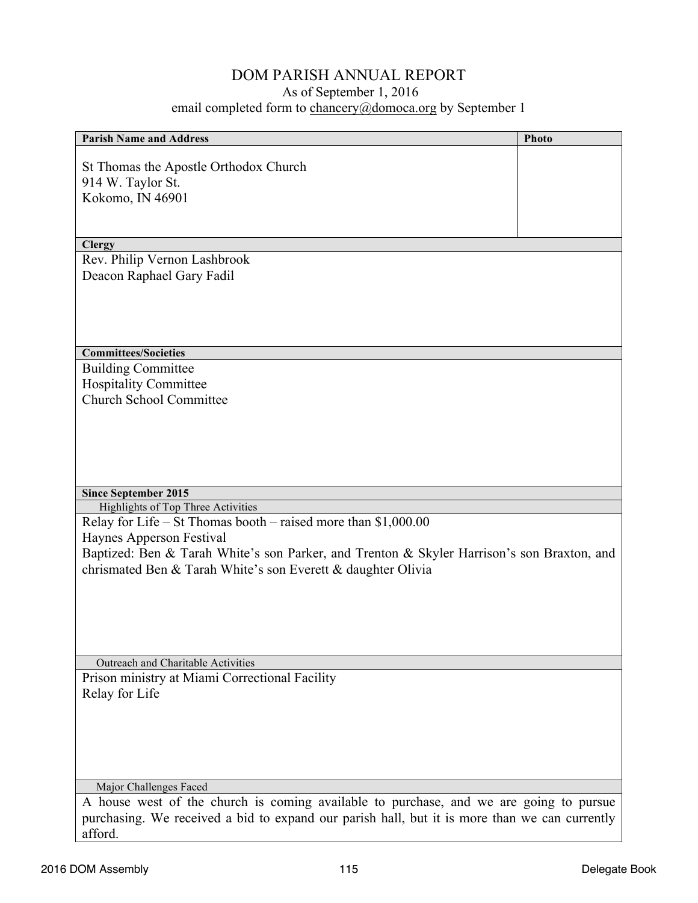# DOM PARISH ANNUAL REPORT

# As of September 1, 2016

# email completed form to **chancery@domoca.org** by September 1

| <b>Parish Name and Address</b>                                                                | Photo |
|-----------------------------------------------------------------------------------------------|-------|
|                                                                                               |       |
| St Thomas the Apostle Orthodox Church                                                         |       |
| 914 W. Taylor St.                                                                             |       |
| Kokomo, IN 46901                                                                              |       |
|                                                                                               |       |
|                                                                                               |       |
| <b>Clergy</b><br>Rev. Philip Vernon Lashbrook                                                 |       |
| Deacon Raphael Gary Fadil                                                                     |       |
|                                                                                               |       |
|                                                                                               |       |
|                                                                                               |       |
|                                                                                               |       |
| <b>Committees/Societies</b>                                                                   |       |
| <b>Building Committee</b><br><b>Hospitality Committee</b>                                     |       |
| <b>Church School Committee</b>                                                                |       |
|                                                                                               |       |
|                                                                                               |       |
|                                                                                               |       |
|                                                                                               |       |
|                                                                                               |       |
| <b>Since September 2015</b><br>Highlights of Top Three Activities                             |       |
| Relay for Life – St Thomas booth – raised more than $$1,000.00$                               |       |
| Haynes Apperson Festival                                                                      |       |
| Baptized: Ben & Tarah White's son Parker, and Trenton & Skyler Harrison's son Braxton, and    |       |
| chrismated Ben & Tarah White's son Everett & daughter Olivia                                  |       |
|                                                                                               |       |
|                                                                                               |       |
|                                                                                               |       |
|                                                                                               |       |
| Outreach and Charitable Activities                                                            |       |
| Prison ministry at Miami Correctional Facility                                                |       |
| Relay for Life                                                                                |       |
|                                                                                               |       |
|                                                                                               |       |
|                                                                                               |       |
|                                                                                               |       |
| Major Challenges Faced                                                                        |       |
| A house west of the church is coming available to purchase, and we are going to pursue        |       |
| purchasing. We received a bid to expand our parish hall, but it is more than we can currently |       |
| afford.                                                                                       |       |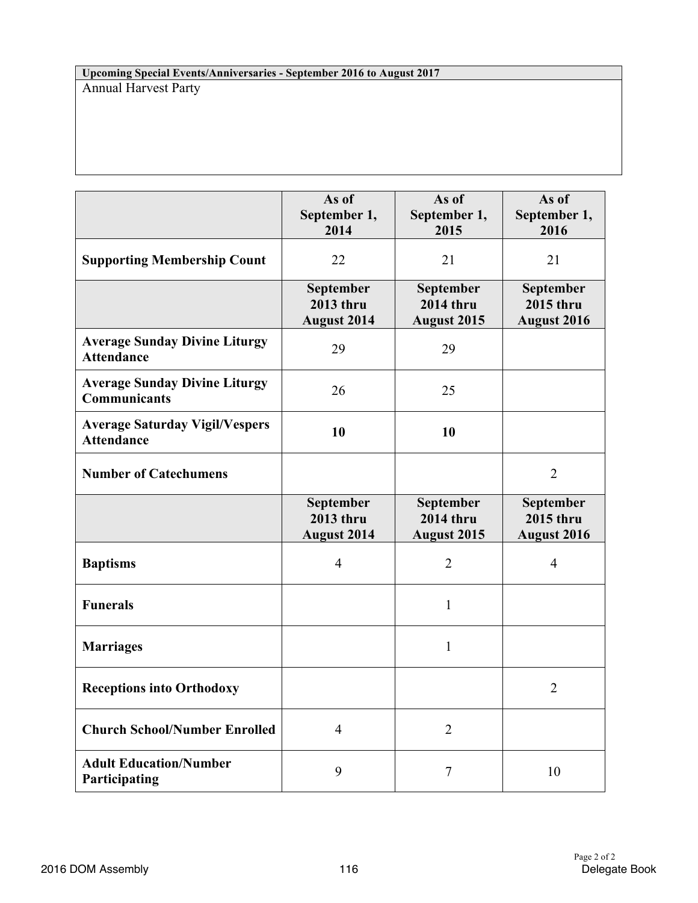**Upcoming Special Events/Anniversaries - September 2016 to August 2017** Annual Harvest Party

|                                                             | As of<br>September 1,<br>2014                       | As of<br>September 1,<br>2015                       | As of<br>September 1,<br>2016                       |
|-------------------------------------------------------------|-----------------------------------------------------|-----------------------------------------------------|-----------------------------------------------------|
| <b>Supporting Membership Count</b>                          | 22                                                  | 21                                                  | 21                                                  |
|                                                             | September<br><b>2013 thru</b><br><b>August 2014</b> | September<br><b>2014 thru</b><br><b>August 2015</b> | September<br><b>2015 thru</b><br><b>August 2016</b> |
| <b>Average Sunday Divine Liturgy</b><br><b>Attendance</b>   | 29                                                  | 29                                                  |                                                     |
| <b>Average Sunday Divine Liturgy</b><br><b>Communicants</b> | 26                                                  | 25                                                  |                                                     |
| <b>Average Saturday Vigil/Vespers</b><br><b>Attendance</b>  | 10                                                  | 10                                                  |                                                     |
| <b>Number of Catechumens</b>                                |                                                     |                                                     | $\overline{2}$                                      |
|                                                             | September<br>2013 thru<br><b>August 2014</b>        | September<br><b>2014 thru</b><br><b>August 2015</b> | September<br><b>2015 thru</b><br><b>August 2016</b> |
| <b>Baptisms</b>                                             | $\overline{4}$                                      | $\overline{2}$                                      | $\overline{4}$                                      |
| <b>Funerals</b>                                             |                                                     | 1                                                   |                                                     |
| <b>Marriages</b>                                            |                                                     | 1                                                   |                                                     |
| <b>Receptions into Orthodoxy</b>                            |                                                     |                                                     | $\overline{2}$                                      |
| <b>Church School/Number Enrolled</b>                        | $\overline{4}$                                      | $\overline{2}$                                      |                                                     |
| <b>Adult Education/Number</b><br>Participating              | 9                                                   | 7                                                   | 10                                                  |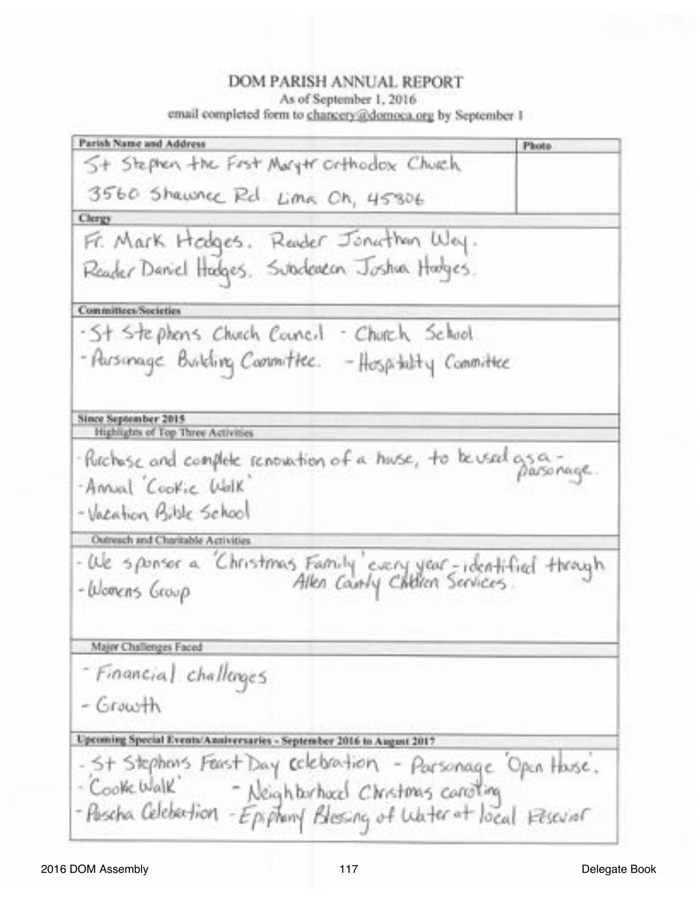#### DOM PARISH ANNUAL REPORT As of September 1, 2016 email completed form to chancery@domoca.org by September 1

Parish Name and Address **Photo** 5+ Stephen the First Marytr orthodox Church 3560 Shawner Rd Lima Oh, 45806 Clergy Fr. Mark Hodges, Reader Jonathan Way. Reader Daniel Hadges. Subdeaton Joshua Hadges. **Committees/Societies** -St Stephens Church Council - Church School - Parsonage Building Committee. - Hospitalty Committee Since September 2015 Highlights of Top Three Activities - Purchase and complete renovation of a huse, to be used gs a-Annual Cookie Walk -Vacation Bible School Outreach and Charitable Activities -We sponsor a "Christmas Family" every year-identified through<br>-Womens Group - Allen County Children Services -Womens Georp Major Challenges Faced - Financial challenges  $-$  Growth Upcoming Special Events/Anniversaries - September 2016 to August 2017 - St Stephons Feast Day celebration - Parsonage Open Hase. - Cooke Walk - Neighborhood Christmas carrolling - Pascha Celebation - Epiphamy Blessing of Water at local reservat